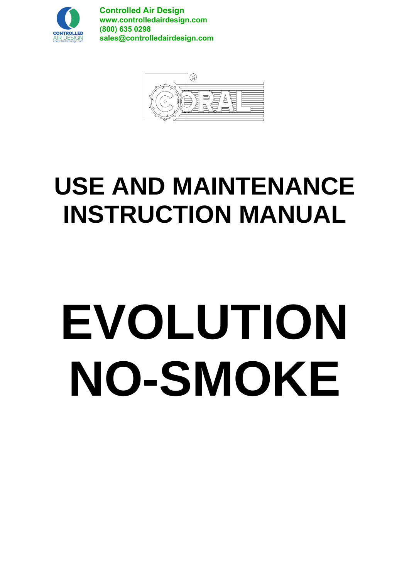

**Controlled Air Design www.controlledairdesign.com (800) 635 0298 sales@controlledairdesign.com**



# **USE AND MAINTENANCE INSTRUCTION MANUAL**

# **EVOLUTION NO-SMOKE**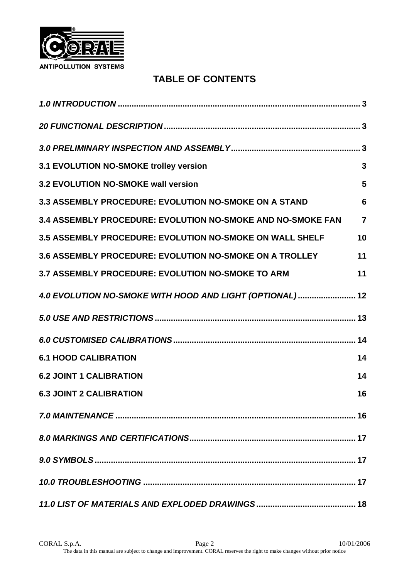

# **TABLE OF CONTENTS**

| 3.1 EVOLUTION NO-SMOKE trolley version                          | 3               |
|-----------------------------------------------------------------|-----------------|
| 3.2 EVOLUTION NO-SMOKE wall version                             | 5               |
| 3.3 ASSEMBLY PROCEDURE: EVOLUTION NO-SMOKE ON A STAND           | $6\phantom{1}6$ |
| 3.4 ASSEMBLY PROCEDURE: EVOLUTION NO-SMOKE AND NO-SMOKE FAN     | $\overline{7}$  |
| <b>3.5 ASSEMBLY PROCEDURE: EVOLUTION NO-SMOKE ON WALL SHELF</b> | 10              |
| <b>3.6 ASSEMBLY PROCEDURE: EVOLUTION NO-SMOKE ON A TROLLEY</b>  | 11              |
| 3.7 ASSEMBLY PROCEDURE: EVOLUTION NO-SMOKE TO ARM               | 11              |
| 4.0 EVOLUTION NO-SMOKE WITH HOOD AND LIGHT (OPTIONAL) 12        |                 |
|                                                                 |                 |
|                                                                 |                 |
| <b>6.1 HOOD CALIBRATION</b>                                     | 14              |
| <b>6.2 JOINT 1 CALIBRATION</b>                                  | 14              |
| <b>6.3 JOINT 2 CALIBRATION</b>                                  | 16              |
|                                                                 |                 |
|                                                                 |                 |
|                                                                 |                 |
|                                                                 |                 |
|                                                                 |                 |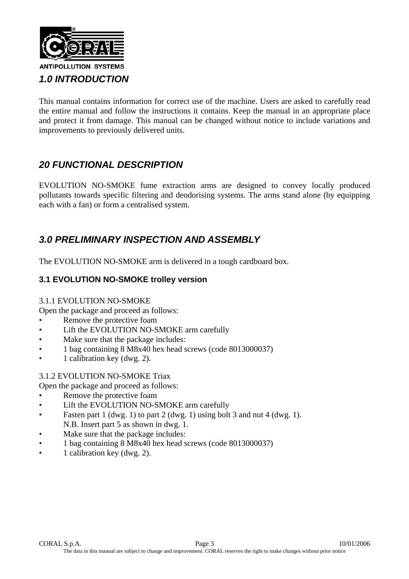

This manual contains information for correct use of the machine. Users are asked to carefully read the entire manual and follow the instructions it contains. Keep the manual in an appropriate place and protect it from damage. This manual can be changed without notice to include variations and improvements to previously delivered units.

# *20 FUNCTIONAL DESCRIPTION*

EVOLUTION NO-SMOKE fume extraction arms are designed to convey locally produced pollutants towards specific filtering and deodorising systems. The arms stand alone (by equipping each with a fan) or form a centralised system.

# *3.0 PRELIMINARY INSPECTION AND ASSEMBLY*

The EVOLUTION NO-SMOKE arm is delivered in a tough cardboard box.

## **3.1 EVOLUTION NO-SMOKE trolley version**

#### 3.1.1 EVOLUTION NO-SMOKE

Open the package and proceed as follows:

- Remove the protective foam
- Lift the EVOLUTION NO-SMOKE arm carefully
- Make sure that the package includes:
- 1 bag containing 8 M8x40 hex head screws (code 8013000037)
- 1 calibration key (dwg. 2).

#### 3.1.2 EVOLUTION NO-SMOKE Triax

Open the package and proceed as follows:

- Remove the protective foam
- Lift the EVOLUTION NO-SMOKE arm carefully
- Fasten part 1 (dwg. 1) to part 2 (dwg. 1) using bolt 3 and nut 4 (dwg. 1). N.B. Insert part 5 as shown in dwg. 1.
- Make sure that the package includes:
- 1 bag containing 8 M8x40 hex head screws (code 8013000037)
- 1 calibration key (dwg. 2).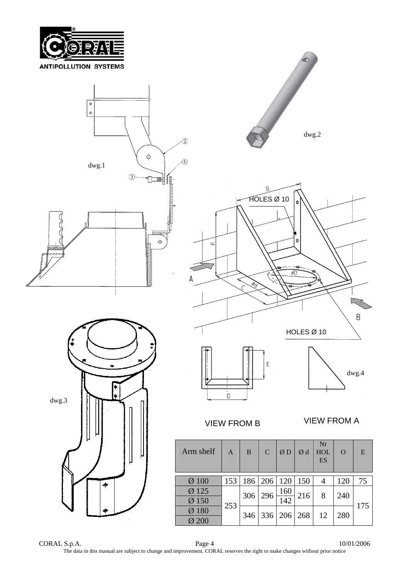



CORAL S.p.A. Page 4 10/01/2006 The data in this manual are subject to change and improvement. CORAL reserves the right to make changes without prior notice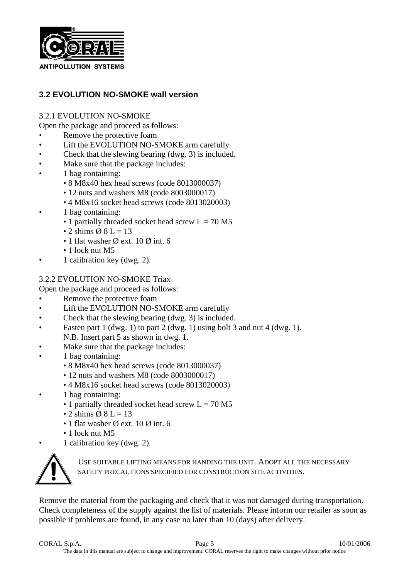

## **3.2 EVOLUTION NO-SMOKE wall version**

#### 3.2.1 EVOLUTION NO-SMOKE

Open the package and proceed as follows:

- Remove the protective foam
- Lift the EVOLUTION NO-SMOKE arm carefully
- Check that the slewing bearing (dwg. 3) is included.
- Make sure that the package includes:
- 1 bag containing:
	- 8 M8x40 hex head screws (code 8013000037)
	- 12 nuts and washers M8 (code 8003000017)
	- 4 M8x16 socket head screws (code 8013020003)
- 1 bag containing:
	- 1 partially threaded socket head screw  $L = 70 M5$
	- 2 shims  $\emptyset$  8 L = 13
	- 1 flat washer  $\emptyset$  ext. 10  $\emptyset$  int. 6
	- 1 lock nut M5
	- 1 calibration key (dwg. 2).

#### 3.2.2 EVOLUTION NO-SMOKE Triax

Open the package and proceed as follows:

- Remove the protective foam
- Lift the EVOLUTION NO-SMOKE arm carefully
- Check that the slewing bearing (dwg. 3) is included.
- Fasten part 1 (dwg. 1) to part 2 (dwg. 1) using bolt 3 and nut 4 (dwg. 1). N.B. Insert part 5 as shown in dwg. 1.
- Make sure that the package includes:
- 1 bag containing:
	- 8 M8x40 hex head screws (code 8013000037)
	- 12 nuts and washers M8 (code 8003000017)
	- 4 M8x16 socket head screws (code 8013020003)
- 1 bag containing:
	- 1 partially threaded socket head screw  $L = 70 M5$
	- 2 shims  $\emptyset$  8 L = 13
	- 1 flat washer  $\emptyset$  ext. 10  $\emptyset$  int. 6
	- 1 lock nut M5
- 1 calibration key (dwg. 2).



USE SUITABLE LIFTING MEANS FOR HANDING THE UNIT. ADOPT ALL THE NECESSARY SAFETY PRECAUTIONS SPECIFIED FOR CONSTRUCTION SITE ACTIVITIES.

Remove the material from the packaging and check that it was not damaged during transportation. Check completeness of the supply against the list of materials. Please inform our retailer as soon as possible if problems are found, in any case no later than 10 (days) after delivery.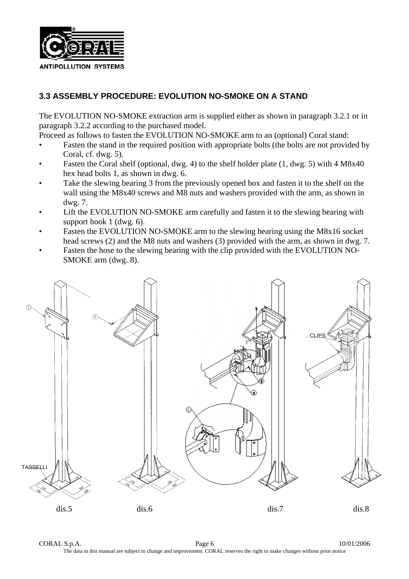

# **3.3 ASSEMBLY PROCEDURE: EVOLUTION NO-SMOKE ON A STAND**

The EVOLUTION NO-SMOKE extraction arm is supplied either as shown in paragraph 3.2.1 or in paragraph 3.2.2 according to the purchased model.

Proceed as follows to fasten the EVOLUTION NO-SMOKE arm to an (optional) Coral stand:

- Fasten the stand in the required position with appropriate bolts (the bolts are not provided by Coral, cf. dwg. 5).
- Fasten the Coral shelf (optional, dwg. 4) to the shelf holder plate (1, dwg. 5) with 4 M8x40 hex head bolts 1, as shown in dwg. 6.
- Take the slewing bearing 3 from the previously opened box and fasten it to the shelf on the wall using the M8x40 screws and M8 nuts and washers provided with the arm, as shown in dwg. 7.
- Lift the EVOLUTION NO-SMOKE arm carefully and fasten it to the slewing bearing with support hook 1 (dwg. 6).
- Fasten the EVOLUTION NO-SMOKE arm to the slewing bearing using the M8x16 socket head screws (2) and the M8 nuts and washers (3) provided with the arm, as shown in dwg. 7.
- Fasten the hose to the slewing bearing with the clip provided with the EVOLUTION NO-SMOKE arm (dwg. 8).

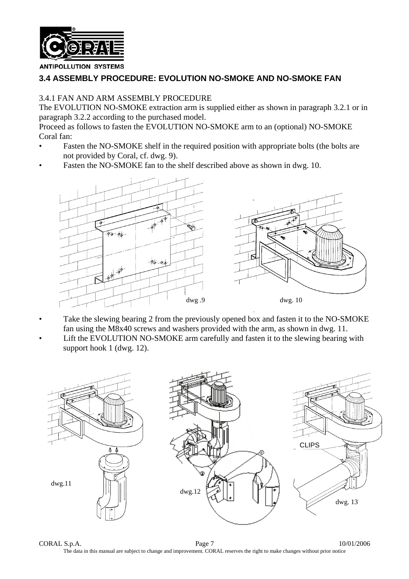

#### **3.4 ASSEMBLY PROCEDURE: EVOLUTION NO-SMOKE AND NO-SMOKE FAN**

#### 3.4.1 FAN AND ARM ASSEMBLY PROCEDURE

The EVOLUTION NO-SMOKE extraction arm is supplied either as shown in paragraph 3.2.1 or in paragraph 3.2.2 according to the purchased model.

Proceed as follows to fasten the EVOLUTION NO-SMOKE arm to an (optional) NO-SMOKE Coral fan:

- Fasten the NO-SMOKE shelf in the required position with appropriate bolts (the bolts are not provided by Coral, cf. dwg. 9).
- Fasten the NO-SMOKE fan to the shelf described above as shown in dwg. 10.



- Take the slewing bearing 2 from the previously opened box and fasten it to the NO-SMOKE fan using the M8x40 screws and washers provided with the arm, as shown in dwg. 11.
- Lift the EVOLUTION NO-SMOKE arm carefully and fasten it to the slewing bearing with support hook 1 (dwg. 12).



CORAL S.p.A. Page 7 10/01/2006 The data in this manual are subject to change and improvement. CORAL reserves the right to make changes without prior notice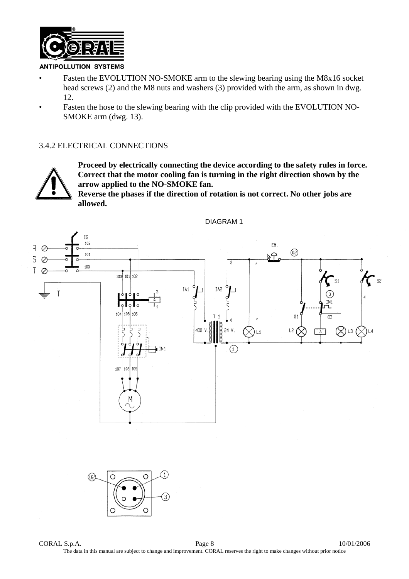

- Fasten the EVOLUTION NO-SMOKE arm to the slewing bearing using the M8x16 socket head screws (2) and the M8 nuts and washers (3) provided with the arm, as shown in dwg. 12.
- Fasten the hose to the slewing bearing with the clip provided with the EVOLUTION NO-SMOKE arm (dwg. 13).

#### 3.4.2 ELECTRICAL CONNECTIONS



**Proceed by electrically connecting the device according to the safety rules in force. Correct that the motor cooling fan is turning in the right direction shown by the arrow applied to the NO-SMOKE fan.**

**Reverse the phases if the direction of rotation is not correct. No other jobs are allowed.** 



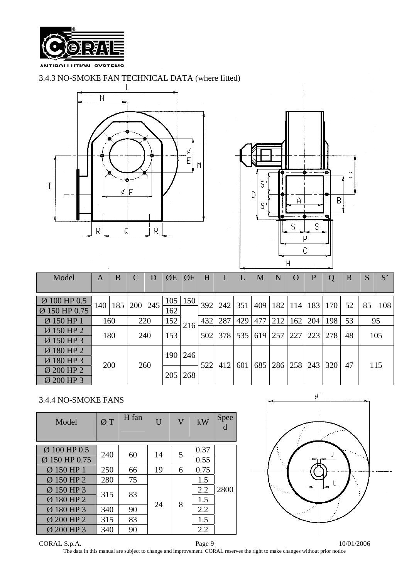

#### 3.4.3 NO-SMOKE FAN TECHNICAL DATA (where fitted)





| Model         | A   | B |            | D   | ØE         | ØF          | H   |     |     | $\mathbf{M}$ | $\mathbf N$ | $\rm{O}$ | P   |     | R   |     | S'  |     |    |  |     |
|---------------|-----|---|------------|-----|------------|-------------|-----|-----|-----|--------------|-------------|----------|-----|-----|-----|-----|-----|-----|----|--|-----|
|               |     |   |            |     |            |             |     |     |     |              |             |          |     |     |     |     |     |     |    |  |     |
| Ø 100 HP 0.5  | 140 |   | 185   200  | 245 |            | $105$   150 | 392 | 242 | 351 | 409          | 182         | 114      | 183 | 170 | 52  | 85  | 108 |     |    |  |     |
| Ø 150 HP 0.75 |     |   |            |     |            |             | 162 |     |     |              |             |          |     |     |     |     |     |     |    |  |     |
| Ø 150 HP 1    | 160 |   | 220        |     | 152        | 216         | 432 | 287 | 429 | 477          | 212         | 162      | 204 | 198 | 53  |     | 95  |     |    |  |     |
| Ø 150 HP 2    |     |   |            |     | 180        |             | 240 |     | 153 |              | 502         | 378      | 535 | 619 | 257 | 227 | 223 | 278 | 48 |  | 105 |
| Ø 150 HP 3    |     |   |            |     |            |             |     |     |     |              |             |          |     |     |     |     |     |     |    |  |     |
| Ø 180 HP 2    |     |   |            |     | 190        | 246         |     |     |     |              |             |          |     |     |     |     |     |     |    |  |     |
| Ø 180 HP 3    |     |   |            |     |            |             | 522 | 412 |     | 685          | 286         | 258      | 243 | 320 | 47  |     | 115 |     |    |  |     |
| Ø 200 HP 2    |     |   | 260<br>200 |     |            |             |     | 601 |     |              |             |          |     |     |     |     |     |     |    |  |     |
| Ø 200 HP 3    |     |   |            |     | 205<br>268 |             |     |     |     |              |             |          |     |     |     |     |     |     |    |  |     |

#### 3.4.4 NO-SMOKE FANS

| Model                         | ØT        | H fan | $\overline{U}$ | $\mathbf V$ | kW           | Spee |  |
|-------------------------------|-----------|-------|----------------|-------------|--------------|------|--|
| Ø 100 HP 0.5<br>Ø 150 HP 0.75 | 240       | 60    | 14             | 5           | 0.37<br>0.55 |      |  |
| Ø 150 HP 1                    | 250       | 66    | 19             | 6           | 0.75         |      |  |
| Ø 150 HP 2                    | 280       | 75    |                |             | 1.5          |      |  |
| Ø 150 HP 3                    | 315       | 83    |                |             | 2.2          | 2800 |  |
| Ø 180 HP 2                    |           |       | 24             | 8           | 1.5          |      |  |
| Ø 180 HP 3                    | 90<br>340 |       |                |             | 2.2          |      |  |
| Ø 200 HP 2                    | 315       | 83    |                |             | 1.5          |      |  |
| Ø 200 HP 3                    | 340       | 90    |                |             | 2.2          |      |  |



 $CORAL S.p.A.$  Page 9 10/01/2006 The data in this manual are subject to change and improvement. CORAL reserves the right to make changes without prior notice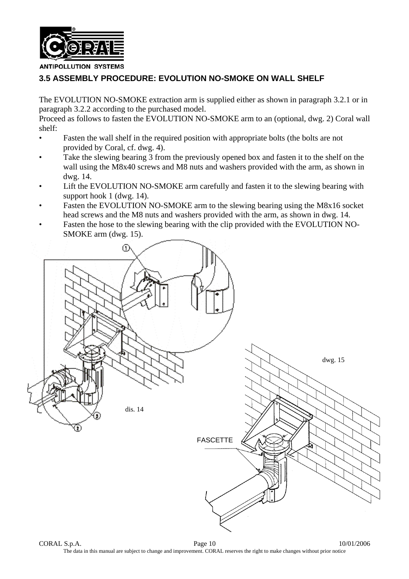

# **3.5 ASSEMBLY PROCEDURE: EVOLUTION NO-SMOKE ON WALL SHELF**

The EVOLUTION NO-SMOKE extraction arm is supplied either as shown in paragraph 3.2.1 or in paragraph 3.2.2 according to the purchased model.

Proceed as follows to fasten the EVOLUTION NO-SMOKE arm to an (optional, dwg. 2) Coral wall shelf:

- Fasten the wall shelf in the required position with appropriate bolts (the bolts are not provided by Coral, cf. dwg. 4).
- Take the slewing bearing 3 from the previously opened box and fasten it to the shelf on the wall using the M8x40 screws and M8 nuts and washers provided with the arm, as shown in dwg. 14.
- Lift the EVOLUTION NO-SMOKE arm carefully and fasten it to the slewing bearing with support hook 1 (dwg. 14).
- Fasten the EVOLUTION NO-SMOKE arm to the slewing bearing using the M8x16 socket head screws and the M8 nuts and washers provided with the arm, as shown in dwg. 14.
- Fasten the hose to the slewing bearing with the clip provided with the EVOLUTION NO-SMOKE arm (dwg. 15).

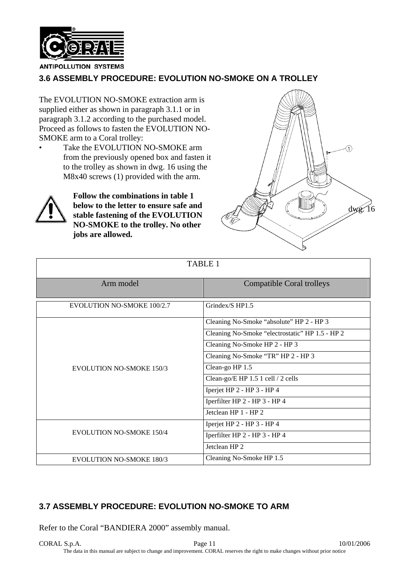

# **3.6 ASSEMBLY PROCEDURE: EVOLUTION NO-SMOKE ON A TROLLEY**

The EVOLUTION NO-SMOKE extraction arm is supplied either as shown in paragraph 3.1.1 or in paragraph 3.1.2 according to the purchased model. Proceed as follows to fasten the EVOLUTION NO-SMOKE arm to a Coral trolley:

Take the EVOLUTION NO-SMOKE arm from the previously opened box and fasten it to the trolley as shown in dwg. 16 using the M8x40 screws (1) provided with the arm.



**Follow the combinations in table 1 below to the letter to ensure safe and stable fastening of the EVOLUTION NO-SMOKE to the trolley. No other jobs are allowed.**



| <b>TABLE 1</b>                  |                                                 |  |  |  |  |  |
|---------------------------------|-------------------------------------------------|--|--|--|--|--|
| Arm model                       | <b>Compatible Coral trolleys</b>                |  |  |  |  |  |
| EVOLUTION NO-SMOKE 100/2.7      | Grindex/S HP1.5                                 |  |  |  |  |  |
|                                 | Cleaning No-Smoke "absolute" HP 2 - HP 3        |  |  |  |  |  |
|                                 | Cleaning No-Smoke "electrostatic" HP 1.5 - HP 2 |  |  |  |  |  |
|                                 | Cleaning No-Smoke HP 2 - HP 3                   |  |  |  |  |  |
|                                 | Cleaning No-Smoke "TR" HP 2 - HP 3              |  |  |  |  |  |
| <b>EVOLUTION NO-SMOKE 150/3</b> | Clean-go HP 1.5                                 |  |  |  |  |  |
|                                 | Clean-go/E HP 1.5 1 cell / 2 cells              |  |  |  |  |  |
|                                 | Iperjet HP 2 - HP 3 - HP 4                      |  |  |  |  |  |
|                                 | Iperfilter HP 2 - HP 3 - HP 4                   |  |  |  |  |  |
|                                 | Jetclean HP 1 - HP 2                            |  |  |  |  |  |
|                                 | Iperjet HP 2 - HP 3 - HP 4                      |  |  |  |  |  |
| <b>EVOLUTION NO-SMOKE 150/4</b> | Iperfilter HP 2 - HP 3 - HP 4                   |  |  |  |  |  |
|                                 | Jetclean HP <sub>2</sub>                        |  |  |  |  |  |
| <b>EVOLUTION NO-SMOKE 180/3</b> | Cleaning No-Smoke HP 1.5                        |  |  |  |  |  |

# **3.7 ASSEMBLY PROCEDURE: EVOLUTION NO-SMOKE TO ARM**

Refer to the Coral "BANDIERA 2000" assembly manual.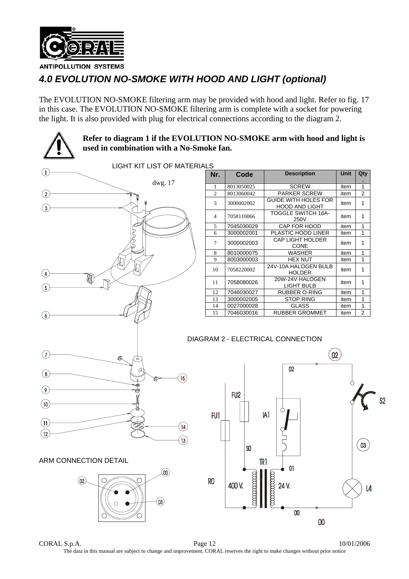

# *4.0 EVOLUTION NO-SMOKE WITH HOOD AND LIGHT (optional)*

The EVOLUTION NO-SMOKE filtering arm may be provided with hood and light. Refer to fig. 17 in this case. The EVOLUTION NO-SMOKE filtering arm is complete with a socket for powering the light. It is also provided with plug for electrical connections according to the diagram 2.



CORAL S.p.A. Page 12 10/01/2006 The data in this manual are subject to change and improvement. CORAL reserves the right to make changes without prior notice

 $\infty$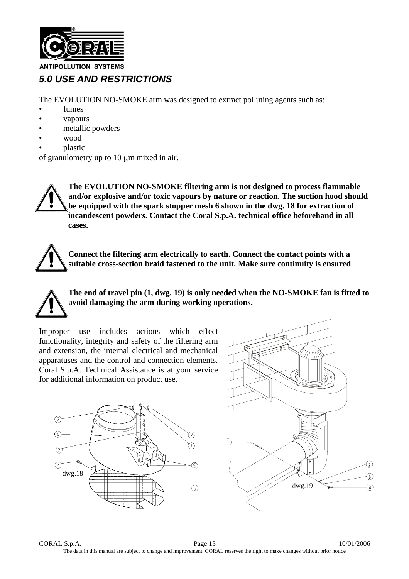

# *5.0 USE AND RESTRICTIONS*

The EVOLUTION NO-SMOKE arm was designed to extract polluting agents such as:

- fumes
- vapours
- metallic powders
- wood
- plastic

of granulometry up to  $10 \mu m$  mixed in air.

**The EVOLUTION NO-SMOKE filtering arm is not designed to process flammable and/or explosive and/or toxic vapours by nature or reaction. The suction hood should be equipped with the spark stopper mesh 6 shown in the dwg. 18 for extraction of incandescent powders. Contact the Coral S.p.A. technical office beforehand in all cases.**

**Connect the filtering arm electrically to earth. Connect the contact points with a suitable cross-section braid fastened to the unit. Make sure continuity is ensured** 

**The end of travel pin (1, dwg. 19) is only needed when the NO-SMOKE fan is fitted to avoid damaging the arm during working operations.**

Improper use includes actions which effect functionality, integrity and safety of the filtering arm and extension, the internal electrical and mechanical apparatuses and the control and connection elements. Coral S.p.A. Technical Assistance is at your service for additional information on product use.



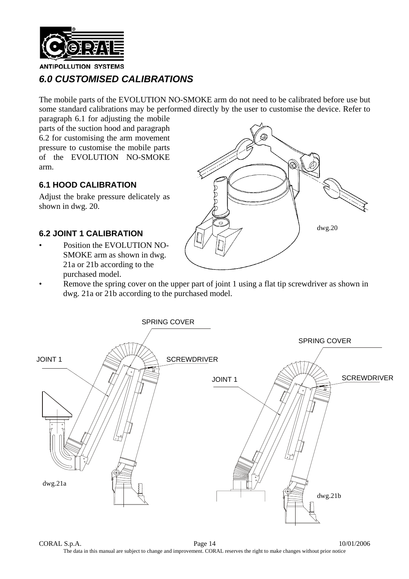

# *6.0 CUSTOMISED CALIBRATIONS*

The mobile parts of the EVOLUTION NO-SMOKE arm do not need to be calibrated before use but some standard calibrations may be performed directly by the user to customise the device. Refer to

paragraph 6.1 for adjusting the mobile parts of the suction hood and paragraph 6.2 for customising the arm movement pressure to customise the mobile parts of the EVOLUTION NO-SMOKE arm.

#### **6.1 HOOD CALIBRATION**

Adjust the brake pressure delicately as shown in dwg. 20.

#### **6.2 JOINT 1 CALIBRATION**

Position the EVOLUTION NO-SMOKE arm as shown in dwg. 21a or 21b according to the purchased model.



Remove the spring cover on the upper part of joint 1 using a flat tip screwdriver as shown in dwg. 21a or 21b according to the purchased model.



CORAL S.p.A. Page 14 10/01/2006 The data in this manual are subject to change and improvement. CORAL reserves the right to make changes without prior notice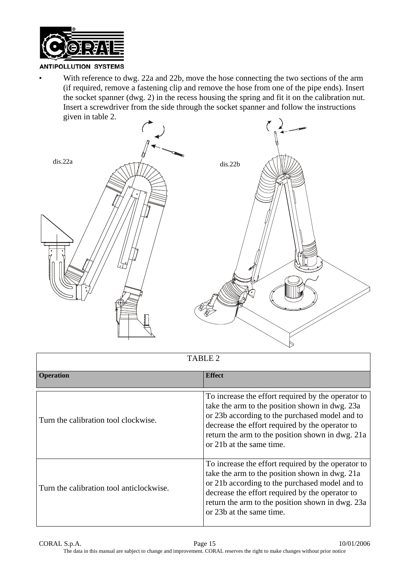

• With reference to dwg. 22a and 22b, move the hose connecting the two sections of the arm (if required, remove a fastening clip and remove the hose from one of the pipe ends). Insert the socket spanner (dwg. 2) in the recess housing the spring and fit it on the calibration nut. Insert a screwdriver from the side through the socket spanner and follow the instructions given in table 2.



| TABLE <sub>2</sub>                       |                                                                                                                                                                                                                                                                                           |  |  |  |  |  |
|------------------------------------------|-------------------------------------------------------------------------------------------------------------------------------------------------------------------------------------------------------------------------------------------------------------------------------------------|--|--|--|--|--|
| <b>Operation</b>                         | <b>Effect</b>                                                                                                                                                                                                                                                                             |  |  |  |  |  |
| Turn the calibration tool clockwise.     | To increase the effort required by the operator to<br>take the arm to the position shown in dwg. 23a<br>or 23b according to the purchased model and to<br>decrease the effort required by the operator to<br>return the arm to the position shown in dwg. 21a<br>or 21b at the same time. |  |  |  |  |  |
| Turn the calibration tool anticlockwise. | To increase the effort required by the operator to<br>take the arm to the position shown in dwg. 21a<br>or 21b according to the purchased model and to<br>decrease the effort required by the operator to<br>return the arm to the position shown in dwg. 23a<br>or 23b at the same time. |  |  |  |  |  |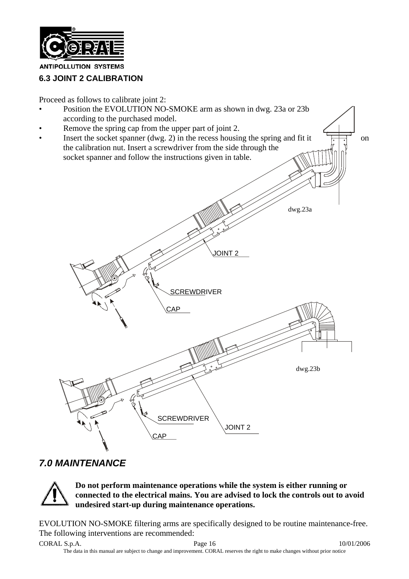

# **6.3 JOINT 2 CALIBRATION**

Proceed as follows to calibrate joint 2:



# *7.0 MAINTENANCE*



**Do not perform maintenance operations while the system is either running or connected to the electrical mains. You are advised to lock the controls out to avoid undesired start-up during maintenance operations.** 

EVOLUTION NO-SMOKE filtering arms are specifically designed to be routine maintenance-free. The following interventions are recommended: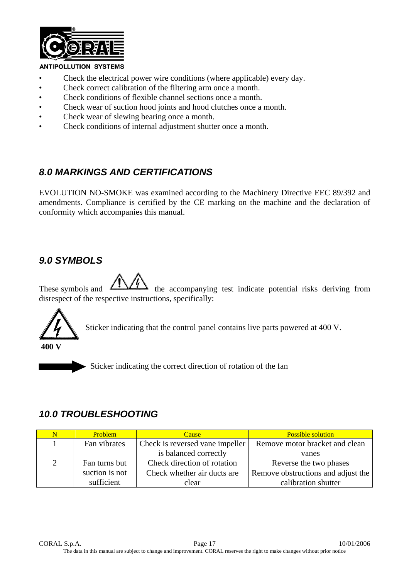

- Check the electrical power wire conditions (where applicable) every day.
- Check correct calibration of the filtering arm once a month.
- Check conditions of flexible channel sections once a month.
- Check wear of suction hood joints and hood clutches once a month.
- Check wear of slewing bearing once a month.
- Check conditions of internal adjustment shutter once a month.

# *8.0 MARKINGS AND CERTIFICATIONS*

EVOLUTION NO-SMOKE was examined according to the Machinery Directive EEC 89/392 and amendments. Compliance is certified by the CE marking on the machine and the declaration of conformity which accompanies this manual.

# *9.0 SYMBOLS*

These symbols and  $\sqrt{27}$  the accompanying test indicate potential risks deriving from disrespect of the respective instructions, specifically:



Sticker indicating that the control panel contains live parts powered at 400 V.

 $\triangleright$  Sticker indicating the correct direction of rotation of the fan

# *10.0 TROUBLESHOOTING*

| N | <b>Problem</b> | <b>Cause</b>                    | <b>Possible solution</b>           |
|---|----------------|---------------------------------|------------------------------------|
|   | Fan vibrates   | Check is reversed vane impeller | Remove motor bracket and clean     |
|   |                | is balanced correctly           | vanes                              |
|   | Fan turns but  | Check direction of rotation     | Reverse the two phases             |
|   | suction is not | Check whether air ducts are     | Remove obstructions and adjust the |
|   | sufficient     | clear                           | calibration shutter                |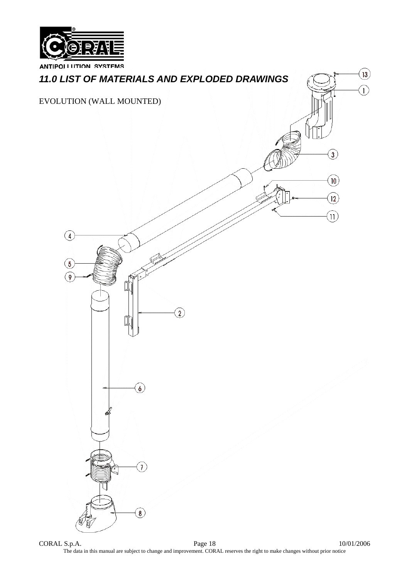



 $CORAL S.p.A.$  Page 18 10/01/2006 The data in this manual are subject to change and improvement. CORAL reserves the right to make changes without prior notice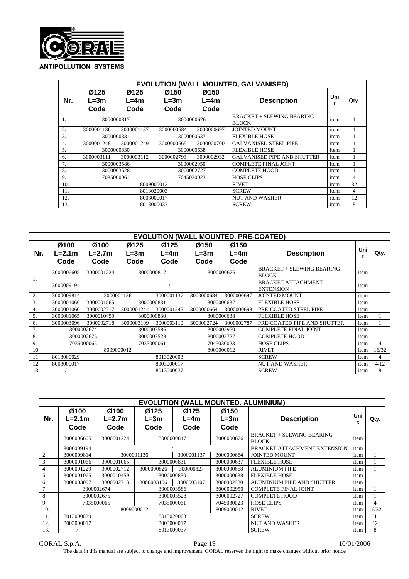

|                  |                                                        |            |                          |                    | <b>EVOLUTION (WALL MOUNTED, GALVANISED)</b> |      |    |
|------------------|--------------------------------------------------------|------------|--------------------------|--------------------|---------------------------------------------|------|----|
| Nr.              | Ø125<br>Ø125<br>Ø150<br>$L = 3m$<br>$L=4m$<br>$L = 3m$ |            | Ø150<br>$L=4m$           | <b>Description</b> | Uni                                         | Qty. |    |
|                  | Code                                                   | Code       | Code                     | Code               |                                             |      |    |
| 1.               | 3000000817                                             |            | 3000000676               |                    | BRACKET + SLEWING BEARING<br><b>BLOCK</b>   | item |    |
| $\overline{2}$ . | 3000001136                                             | 3000001137 | 3000000697<br>3000000684 |                    | <b>JOINTED MOUNT</b>                        | item |    |
| 3.               |                                                        | 3000000831 | 3000000637               |                    | <b>FLEXIBLE HOSE</b>                        | item |    |
| $\overline{4}$ . | 3000001248                                             | 3000001249 | 3000000665               | 3000000700         | <b>GALVANISED STEEL PIPE</b>                | item |    |
| 5.               |                                                        | 3000000830 | 3000000638               |                    | <b>FLEXIBLE HOSE</b>                        | item |    |
| 6.               | 3000003111                                             | 3000003112 | 3000002793               | 3000002932         | <b>GALVANISED PIPE AND SHUTTER</b>          | item |    |
| 7.               |                                                        | 3000003586 |                          | 3000002950         | <b>COMPLETE FINAL JOINT</b>                 | item |    |
| 8.               |                                                        | 3000003528 |                          | 3000002727         | <b>COMPLETE HOOD</b>                        | item |    |
| 9.               |                                                        | 7035000061 |                          | 7045030023         | <b>HOSE CLIPS</b>                           | item | 4  |
| 10.              |                                                        |            | 8009000012               |                    | <b>RIVET</b>                                | item | 32 |
| 11.              |                                                        |            | 8013020003               | <b>SCREW</b>       | item                                        | 4    |    |
| 12.              |                                                        |            | 8003000017               |                    | <b>NUT AND WASHER</b>                       | item | 12 |
| 13.              |                                                        |            | 8013000037               |                    | <b>SCREW</b>                                | item | 8  |

|     |            |            |                          | <b>EVOLUTION (WALL MOUNTED. PRE-COATED)</b> |            |            |                                                  |      |       |
|-----|------------|------------|--------------------------|---------------------------------------------|------------|------------|--------------------------------------------------|------|-------|
|     | Ø100       | Ø100       | Ø125                     | Ø125                                        | Ø150       | Ø150       |                                                  | Uni  |       |
| Nr. | L=2.1m     | L=2.7m     | $L = 3m$                 | L=4m                                        | L=3m       | $L = 4m$   | <b>Description</b>                               |      | Qty.  |
|     | Code       | Code       | Code                     | Code                                        | Code       | Code       |                                                  |      |       |
| 1.  | 3000006605 | 3000001224 | 3000000817               |                                             | 3000000676 |            | <b>BRACKET + SLEWING BEARING</b><br><b>BLOCK</b> | item |       |
|     | 3000009194 |            |                          |                                             |            |            | <b>BRACKET ATTACHMENT</b><br><b>EXTENSION</b>    | item |       |
| 2.  | 3000009814 |            | 3000001136<br>3000001137 |                                             | 3000000684 | 3000000697 | <b>JOINTED MOUNT</b>                             | item |       |
| 3.  | 3000001066 | 3000001065 | 3000000831               |                                             | 3000000637 |            | <b>FLEXIBLE HOSE</b>                             | item |       |
| 4.  | 3000001060 | 3000002717 | 3000001244               | 3000001245                                  | 3000000664 | 3000000698 | PRE-COATED STEEL PIPE                            | item |       |
| 5.  | 3000001065 | 3000010459 |                          | 3000000830                                  | 3000000638 |            | <b>FLEXIBLE HOSE</b>                             | item |       |
| 6.  | 3000003096 | 3000002718 | 3000003109               | 3000003110                                  | 3000002724 | 3000002787 | PRE-COATED PIPE AND SHUTTER                      | item |       |
| 7.  |            | 3000002674 |                          | 3000003586                                  |            | 3000002950 | <b>COMPLETE FINAL JOINT</b>                      | item |       |
| 8.  |            | 3000002675 |                          | 3000003528                                  |            | 3000002727 | <b>COMPLETE HOOD</b>                             | item |       |
| 9.  |            | 7035000065 |                          | 7035000061                                  |            | 7045030023 | <b>HOSE CLIPS</b>                                | item | 4     |
| 10. |            |            | 8009000012               |                                             |            | 8009000012 | <b>RIVET</b>                                     | item | 16/32 |
| 11. | 8013000029 |            |                          | 8013020003                                  |            |            | <b>SCREW</b>                                     | item | 4     |
| 12. | 8003000017 |            |                          | 8003000017                                  |            |            | <b>NUT AND WASHER</b>                            | item | 4/12  |
| 13. |            |            |                          | 8013000037                                  |            |            | <b>SCREW</b>                                     | item | 8     |

|     | <b>EVOLUTION (WALL MOUNTED. ALUMINIUM)</b> |                  |                  |                  |                  |                                                  |      |                |  |  |  |  |  |  |
|-----|--------------------------------------------|------------------|------------------|------------------|------------------|--------------------------------------------------|------|----------------|--|--|--|--|--|--|
| Nr. | Ø100<br>$L=2.1m$                           | Ø100<br>$L=2.7m$ | Ø125<br>$L = 3m$ | Ø125<br>$L = 4m$ | Ø150<br>$L = 3m$ | <b>Description</b>                               | Uni  | Qty.           |  |  |  |  |  |  |
|     | Code                                       | Code             | Code             | Code             | Code             |                                                  |      |                |  |  |  |  |  |  |
| . . | 3000006605                                 | 3000001224       |                  | 3000000817       | 3000000676       | <b>BRACKET + SLEWING BEARING</b><br><b>BLOCK</b> | item |                |  |  |  |  |  |  |
|     | 3000009194                                 |                  |                  |                  |                  | <b>BRACKET ATTACHMENT EXTENSION</b>              | item |                |  |  |  |  |  |  |
| 2.  | 3000009814                                 |                  | 3000001136       | 3000001137       | 3000000684       | <b>JOINTED MOUNT</b>                             | item |                |  |  |  |  |  |  |
| 3.  | 3000001066                                 | 3000001065       | 3000000831       |                  | 3000000637       | <b>FLEXIBLE HOSE</b>                             | item |                |  |  |  |  |  |  |
| 4.  | 3000001229                                 | 3000002712       | 3000000826       | 300000827        | 3000000668       | <b>ALUMINIUM PIPE</b>                            | item |                |  |  |  |  |  |  |
| 5.  | 3000001065                                 | 3000010459       |                  | 3000000830       | 3000000638       | <b>FLEXIBLE HOSE</b>                             | item |                |  |  |  |  |  |  |
| 6.  | 3000003097                                 | 3000002713       | 3000003106       | 3000003107       | 3000002930       | ALUMINIUM PIPE AND SHUTTER                       | item |                |  |  |  |  |  |  |
| 7.  |                                            | 3000002674       |                  | 3000003586       | 3000002950       | <b>COMPLETE FINAL JOINT</b>                      | item |                |  |  |  |  |  |  |
| 8.  |                                            | 3000002675       |                  | 3000003528       | 3000002727       | <b>COMPLETE HOOD</b>                             | item |                |  |  |  |  |  |  |
| 9.  |                                            | 7035000065       |                  | 7035000061       | 7045030023       | <b>HOSE CLIPS</b>                                | item | $\overline{4}$ |  |  |  |  |  |  |
| 10. |                                            |                  | 8009000012       |                  | 8009000012       | <b>RIVET</b>                                     | item | 16/32          |  |  |  |  |  |  |
| 11. | 8013000029                                 |                  |                  | 8013020003       |                  | <b>SCREW</b>                                     | item | 4              |  |  |  |  |  |  |
| 12. | 8003000017                                 |                  |                  | 8003000017       |                  | <b>NUT AND WASHER</b>                            | item | 12             |  |  |  |  |  |  |
| 13. |                                            |                  |                  | 8013000037       |                  | <b>SCREW</b>                                     | item | 8              |  |  |  |  |  |  |

 $CORAL S.p.A.$  Page 19 10/01/2006 The data in this manual are subject to change and improvement. CORAL reserves the right to make changes without prior notice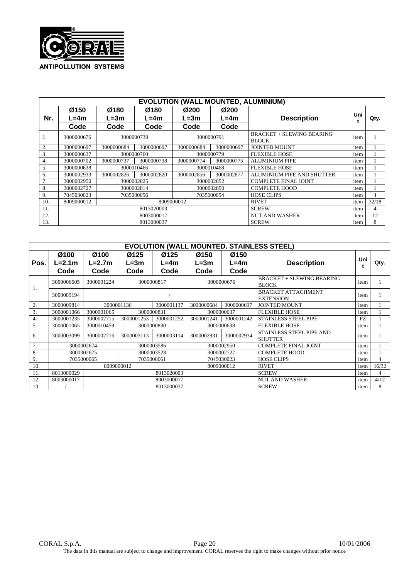

|     |            |            |            |                          |              | <b>EVOLUTION (WALL MOUNTED, ALUMINIUM)</b>       |      |                |
|-----|------------|------------|------------|--------------------------|--------------|--------------------------------------------------|------|----------------|
|     | Ø150       | Ø180       | Ø180       | Ø200                     | Ø200         |                                                  | Uni  |                |
| Nr. | L=4m       | $L = 3m$   | $L=4m$     | $L=3m$                   | $L=4m$       | <b>Description</b>                               |      | Qty.           |
|     | Code       | Code       | Code       | Code                     | Code         |                                                  |      |                |
| 1.  | 3000000676 |            | 3000000739 | 3000000791               |              | <b>BRACKET + SLEWING BEARING</b><br><b>BLOCK</b> | item |                |
| 2.  | 3000000697 | 3000000684 | 3000000697 | 3000000684<br>3000000697 |              | <b>JOINTED MOUNT</b>                             | item |                |
| 3.  | 3000000637 |            | 3000000760 | 3000000779               |              | <b>FLEXIBLE HOSE</b>                             | item |                |
| 4.  | 3000000702 | 3000000737 | 3000000738 | 3000000774               | 3000000775   | <b>ALUMINIUM PIPE</b>                            | item |                |
| 5.  | 3000000638 |            | 3000010466 | 3000010468               |              | <b>FLEXIBLE HOSE</b>                             | item |                |
| 6.  | 3000002933 | 3000002826 | 3000002820 | 3000002856               | 3000002877   | ALUMINIUM PIPE AND SHUTTER                       | item |                |
| 7.  | 3000002950 |            | 3000002825 | 3000002852               |              | <b>COMPLETE FINAL JOINT</b>                      | item |                |
| 8.  | 3000002727 |            | 3000002814 |                          | 3000002850   | <b>COMPLETE HOOD</b>                             | item |                |
| 9.  | 7045030023 |            | 7035000056 |                          | 7035000054   | <b>HOSE CLIPS</b>                                | item | $\overline{4}$ |
| 10. | 8009000012 |            |            | 8009000012               |              | <b>RIVET</b>                                     | item | 32/18          |
| 11. |            |            | 8013020003 |                          | <b>SCREW</b> | item                                             | 4    |                |
| 12. |            |            | 8003000017 |                          |              | <b>NUT AND WASHER</b>                            | item | 12             |
| 13. |            |            | 8013000037 |                          |              | <b>SCREW</b>                                     | item | 8              |

|      |            |            |            |                  |            |                           | <b>EVOLUTION (WALL MOUNTED. STAINLESS STEEL)</b> |      |       |
|------|------------|------------|------------|------------------|------------|---------------------------|--------------------------------------------------|------|-------|
|      | Ø100       | Ø100       | Ø125       | Ø125             | Ø150       | Ø150                      |                                                  | Uni  |       |
| Pos. | L=2.1m     | $L=2.7m$   | L=3m       | L=4m             | L=3m       | $L = 4m$                  | <b>Description</b>                               |      | Qty.  |
|      | Code       | Code       | Code       | Code             | Code       | Code                      |                                                  |      |       |
|      | 3000006605 | 3000001224 |            | 3000000817       |            | 3000000676                | <b>BRACKET + SLEWING BEARING</b><br><b>BLOCK</b> | item |       |
| 1.   | 3000009194 |            |            | <b>EXTENSION</b> |            | <b>BRACKET ATTACHMENT</b> | item                                             |      |       |
| 2.   | 3000009814 | 3000001136 | 3000001137 |                  | 3000000684 | 3000000697                | <b>JOINTED MOUNT</b>                             | item |       |
| 3.   | 3000001066 | 3000001065 | 3000000831 |                  | 3000000637 |                           | <b>FLEXIBLE HOSE</b>                             | item |       |
| 4.   | 3000001235 | 3000002715 | 3000001253 | 3000001252       | 3000001241 | 3000001242                | <b>STAINLESS STEEL PIPE</b>                      | PZ   |       |
| 5.   | 3000001065 | 3000010459 |            | 3000000830       | 3000000638 |                           | <b>FLEXIBLE HOSE</b>                             | item |       |
| 6.   | 3000003099 | 3000002716 | 3000003113 | 3000003114       | 3000002931 | 3000002934                | STAINLESS STEEL PIPE AND<br><b>SHUTTER</b>       | item |       |
| 7.   |            | 3000002674 |            | 3000003586       |            | 3000002950                | <b>COMPLETE FINAL JOINT</b>                      | item |       |
| 8.   |            | 3000002675 |            | 3000003528       |            | 3000002727                | <b>COMPLETE HOOD</b>                             | item |       |
| 9.   |            | 7035000065 |            | 7035000061       |            | 7045030023                | <b>HOSE CLIPS</b>                                | item | 4     |
| 10.  |            | 8009000012 |            |                  |            | 8009000012                | <b>RIVET</b>                                     | item | 16/32 |
| 11.  | 8013000029 |            |            | 8013020003       |            |                           | <b>SCREW</b>                                     | item | 4     |
| 12.  | 8003000017 |            |            | 8003000017       |            |                           | <b>NUT AND WASHER</b>                            | item | 4/12  |
| 13.  |            |            |            | 8013000037       |            |                           | <b>SCREW</b>                                     | item | 8     |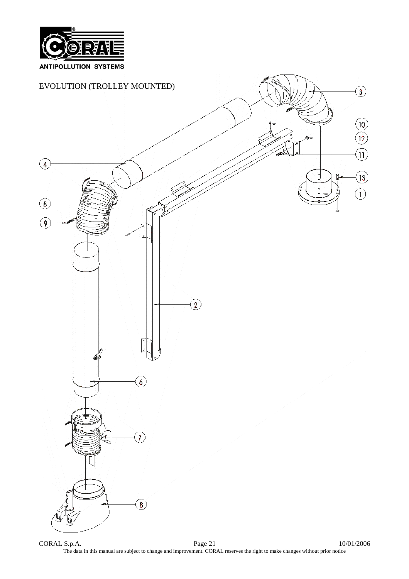

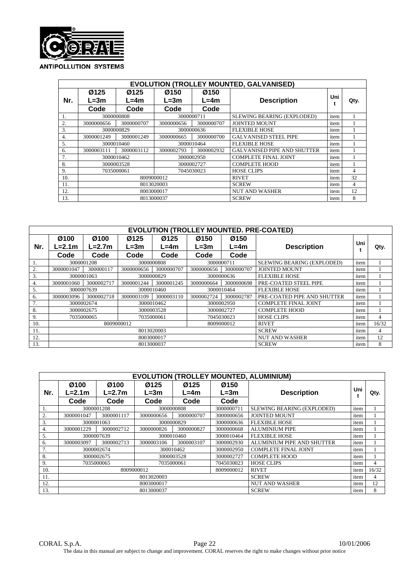

|     |                  |                                      |            |                | <b>EVOLUTION (TROLLEY MOUNTED, GALVANISED)</b> |                |      |
|-----|------------------|--------------------------------------|------------|----------------|------------------------------------------------|----------------|------|
| Nr. | Ø125<br>$L = 3m$ | Ø125<br>Ø150<br>$L = 4m$<br>$L = 3m$ |            | Ø150<br>$L=4m$ | <b>Description</b>                             | Uni            | Qty. |
|     | Code             | Code                                 | Code       | Code           |                                                |                |      |
|     | 3000000808       |                                      | 3000000711 |                | SLEWING BEARING (EXPLODED)                     |                |      |
| 2.  | 3000000656       | 3000000707                           | 3000000656 | 3000000707     | <b>JOINTED MOUNT</b>                           | item           |      |
| 3.  |                  | 3000000829                           | 3000000636 |                | <b>FLEXIBLE HOSE</b>                           | item           |      |
| 4.  | 3000001249       | 3000001249                           | 3000000665 | 3000000700     | <b>GALVANISED STEEL PIPE</b>                   | item           |      |
| 5.  |                  | 3000010460                           | 3000010464 |                | <b>FLEXIBLE HOSE</b>                           | item           |      |
| 6.  | 3000003111       | 3000003112                           | 3000002793 | 3000002932     | <b>GALVANISED PIPE AND SHUTTER</b>             | item           |      |
|     |                  | 3000010462                           |            | 3000002950     | <b>COMPLETE FINAL JOINT</b>                    | item           |      |
| 8.  |                  | 3000003528                           |            | 3000002727     | <b>COMPLETE HOOD</b>                           | item           |      |
| 9.  |                  | 7035000061                           |            | 7045030023     | <b>HOSE CLIPS</b>                              | item           | 4    |
| 10. |                  |                                      | 8009000012 |                | <b>RIVET</b>                                   | item           | 32   |
| 11. |                  |                                      | 8013020003 | <b>SCREW</b>   | item                                           | $\overline{4}$ |      |
| 12. |                  |                                      | 8003000017 |                | <b>NUT AND WASHER</b>                          | item           | 12   |
| 13. |                  |                                      | 8013000037 |                | <b>SCREW</b>                                   | item           | 8    |

| <b>EVOLUTION (TROLLEY MOUNTED. PRE-COATED)</b> |                          |                  |                  |                |              |                             |                             |      |       |  |
|------------------------------------------------|--------------------------|------------------|------------------|----------------|--------------|-----------------------------|-----------------------------|------|-------|--|
| Nr.                                            | Ø100<br>L=2.1m           | Ø100<br>$L=2.7m$ | Ø125<br>$L = 3m$ | Ø125<br>$L=4m$ | Ø150<br>L=3m | Ø150<br>$L = 4m$            | <b>Description</b>          |      | Qty.  |  |
|                                                | Code                     | Code             | Code             | Code           | Code         | Code                        |                             |      |       |  |
|                                                |                          | 3000001208       | 3000000808       |                | 3000000711   |                             | SLEWING BEARING (EXPLODED)  | item |       |  |
| 2.                                             | 3000001047               | 300000117        | 3000000656       | 3000000707     | 3000000656   | 3000000707                  | <b>JOINTED MOUNT</b>        | item |       |  |
| 3.                                             | 3000001063               |                  | 3000000829       |                | 3000000636   |                             | <b>FLEXIBLE HOSE</b>        | item |       |  |
| 4.                                             | 3000001060               | 3000002717       | 3000001244       | 3000001245     | 3000000664   | 3000000698                  | PRE-COATED STEEL PIPE       | item |       |  |
| 5.                                             |                          | 3000007639       | 3000010460       |                | 3000010464   |                             | <b>FLEXIBLE HOSE</b>        | item |       |  |
| 6.                                             | 3000003096               | 3000002718       | 3000003109       | 3000003110     | 3000002724   | 3000002787                  | PRE-COATED PIPE AND SHUTTER | item |       |  |
|                                                | 3000002674<br>3000010462 |                  |                  |                | 3000002950   | <b>COMPLETE FINAL JOINT</b> | item                        |      |       |  |
| 8.                                             | 3000002675               |                  | 3000003528       |                | 3000002727   |                             | <b>COMPLETE HOOD</b>        | item |       |  |
| 9.                                             | 7035000065<br>7035000061 |                  |                  | 7045030023     |              | <b>HOSE CLIPS</b>           | item                        | 4    |       |  |
| 10.                                            |                          |                  | 8009000012       |                | 8009000012   |                             | <b>RIVET</b>                | item | 16/32 |  |
| 11.                                            | 8013020003               |                  |                  |                |              |                             | <b>SCREW</b>                | item | 4     |  |
| 12.                                            | 8003000017               |                  |                  |                |              |                             | <b>NUT AND WASHER</b>       | item | 12    |  |
| 13.                                            | 8013000037               |                  |                  |                |              |                             | <b>SCREW</b>                | item | 8     |  |

| <b>EVOLUTION (TROLLEY MOUNTED, ALUMINIUM)</b> |                |                  |                  |                |                  |                             |      |       |  |  |  |
|-----------------------------------------------|----------------|------------------|------------------|----------------|------------------|-----------------------------|------|-------|--|--|--|
| Nr.                                           | Ø100<br>L=2.1m | Ø100<br>$L=2.7m$ | Ø125<br>$L = 3m$ | Ø125<br>$L=4m$ | Ø150<br>$L = 3m$ | <b>Description</b>          | Uni  | Qty.  |  |  |  |
|                                               | Code           | Code             | Code             | Code           | Code             |                             |      |       |  |  |  |
| 1.                                            | 3000001208     |                  | 3000000808       |                | 3000000711       | SLEWING BEARING (EXPLODED)  | item |       |  |  |  |
| 2.                                            | 3000001047     | 3000001117       | 3000000656       | 3000000707     | 3000000656       | <b>JOINTED MOUNT</b>        | item |       |  |  |  |
| 3.                                            | 3000001063     |                  | 3000000829       |                | 3000000636       | <b>FLEXIBLE HOSE</b>        | item |       |  |  |  |
| 4.                                            | 3000001229     | 3000002712       | 3000000826       | 3000000827     | 3000000668       | <b>ALUMINIUM PIPE</b>       | item |       |  |  |  |
| 5.                                            | 3000007639     |                  | 3000010460       |                | 3000010464       | <b>FLEXIBLE HOSE</b>        | item |       |  |  |  |
| 6.                                            | 3000003097     | 3000002713       | 3000003106       | 3000003107     | 3000002930       | ALUMINIUM PIPE AND SHUTTER  | item |       |  |  |  |
| 7.                                            |                | 3000002674       | 300010462        |                | 3000002950       | <b>COMPLETE FINAL JOINT</b> | item |       |  |  |  |
| 8.                                            |                | 3000002675       |                  | 3000003528     | 3000002727       | <b>COMPLETE HOOD</b>        | item |       |  |  |  |
| 9.                                            |                | 7035000065       | 7035000061       |                | 7045030023       | <b>HOSE CLIPS</b>           | item | 4     |  |  |  |
| 10.                                           |                |                  | 8009000012       |                | 8009000012       | <b>RIVET</b>                | item | 16/32 |  |  |  |
| 11.                                           |                |                  | 8013020003       |                |                  | <b>SCREW</b>                | item | 4     |  |  |  |
| 12.                                           | 8003000017     |                  |                  |                |                  | <b>NUT AND WASHER</b>       | item | 12    |  |  |  |
| 13.                                           |                |                  | 8013000037       |                |                  | <b>SCREW</b>                | item | 8     |  |  |  |